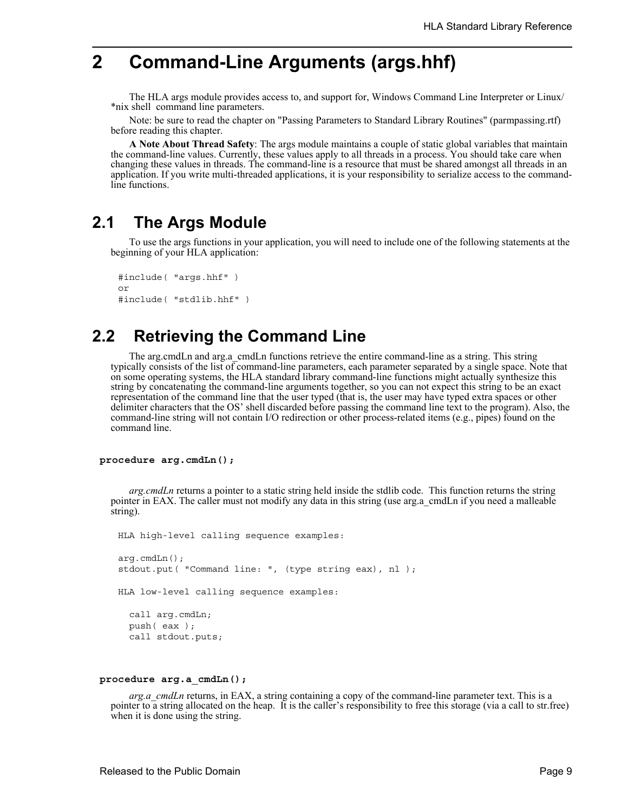# **2 Command-Line Arguments (args.hhf)**

The HLA args module provides access to, and support for, Windows Command Line Interpreter or Linux/ \*nix shell command line parameters.

Note: be sure to read the chapter on "Passing Parameters to Standard Library Routines" (parmpassing.rtf) before reading this chapter.

**A Note About Thread Safety**: The args module maintains a couple of static global variables that maintain the command-line values. Currently, these values apply to all threads in a process. You should take care when changing these values in threads. The command-line is a resource that must be shared amongst all threads in an application. If you write multi-threaded applications, it is your responsibility to serialize access to the commandline functions.

## **2.1 The Args Module**

To use the args functions in your application, you will need to include one of the following statements at the beginning of your HLA application:

```
#include( "args.hhf" )
or
#include( "stdlib.hhf" )
```
# **2.2 Retrieving the Command Line**

The arg.cmdLn and arg.a\_cmdLn functions retrieve the entire command-line as a string. This string typically consists of the list of command-line parameters, each parameter separated by a single space. Note that on some operating systems, the HLA standard library command-line functions might actually synthesize this string by concatenating the command-line arguments together, so you can not expect this string to be an exact representation of the command line that the user typed (that is, the user may have typed extra spaces or other delimiter characters that the OS' shell discarded before passing the command line text to the program). Also, the command-line string will not contain I/O redirection or other process-related items (e.g., pipes) found on the command line.

#### **procedure arg.cmdLn();**

*arg.cmdLn* returns a pointer to a static string held inside the stdlib code. This function returns the string pointer in EAX. The caller must not modify any data in this string (use arg.a\_cmdLn if you need a malleable string).

```
HLA high-level calling sequence examples:
arg.cmdLn();
stdout.put( "Command line: ", (type string eax), nl );
HLA low-level calling sequence examples:
 call arg.cmdLn;
 push( eax );
 call stdout.puts;
```
#### **procedure arg.a\_cmdLn();**

*arg.a\_cmdLn* returns, in EAX, a string containing a copy of the command-line parameter text. This is a pointer to a string allocated on the heap. It is the caller's responsibility to free this storage (via a call to str.free) when it is done using the string.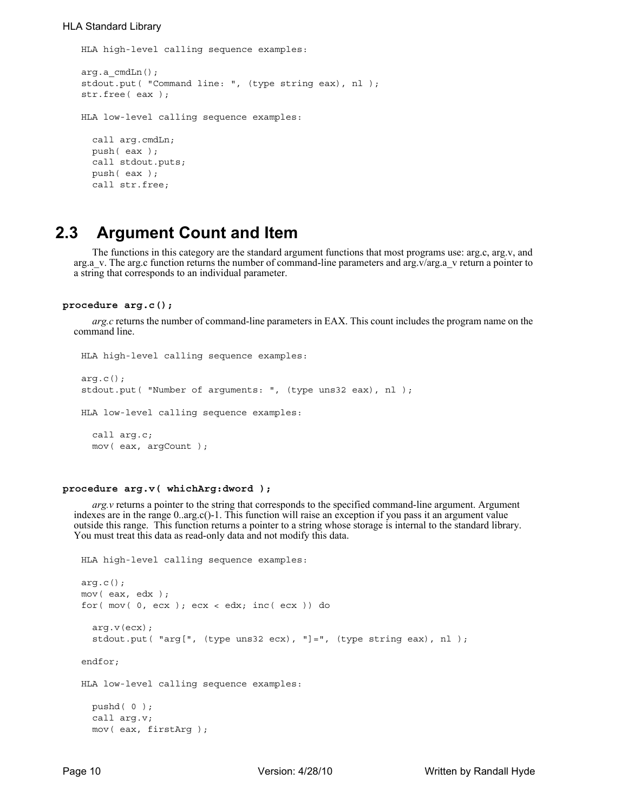### HLA Standard Library

HLA high-level calling sequence examples:

```
arg.a_cmdLn();
stdout.put( "Command line: ", (type string eax), nl );
str.free( eax );
HLA low-level calling sequence examples:
  call arg.cmdLn;
  push( eax );
  call stdout.puts;
  push( eax );
  call str.free;
```
## **2.3 Argument Count and Item**

The functions in this category are the standard argument functions that most programs use: arg.c, arg.v, and arg.a.v. The arg.c function returns the number of command-line parameters and arg.v/arg.a.v return a pointer to a string that corresponds to an individual parameter.

#### **procedure arg.c();**

*arg.c* returns the number of command-line parameters in EAX. This count includes the program name on the command line.

```
HLA high-level calling sequence examples:
arg.c();
stdout.put( "Number of arguments: ", (type uns32 eax), nl );
HLA low-level calling sequence examples:
 call arg.c;
 mov( eax, argCount );
```
## **procedure arg.v( whichArg:dword );**

*arg.v* returns a pointer to the string that corresponds to the specified command-line argument. Argument indexes are in the range 0..arg.c()-1. This function will raise an exception if you pass it an argument value outside this range. This function returns a pointer to a string whose storage is internal to the standard library. You must treat this data as read-only data and not modify this data.

```
HLA high-level calling sequence examples:
arg.c();
mov( eax, edx );
for( mov( 0, ecx ); ecx < edx; inc( ecx )) do
  arg.v(ecx);
  stdout.put( "arg[", (type uns32 ecx), "]=", (type string eax), nl );
endfor;
HLA low-level calling sequence examples:
 pushd( 0 );
 call arg.v;
 mov( eax, firstArg );
```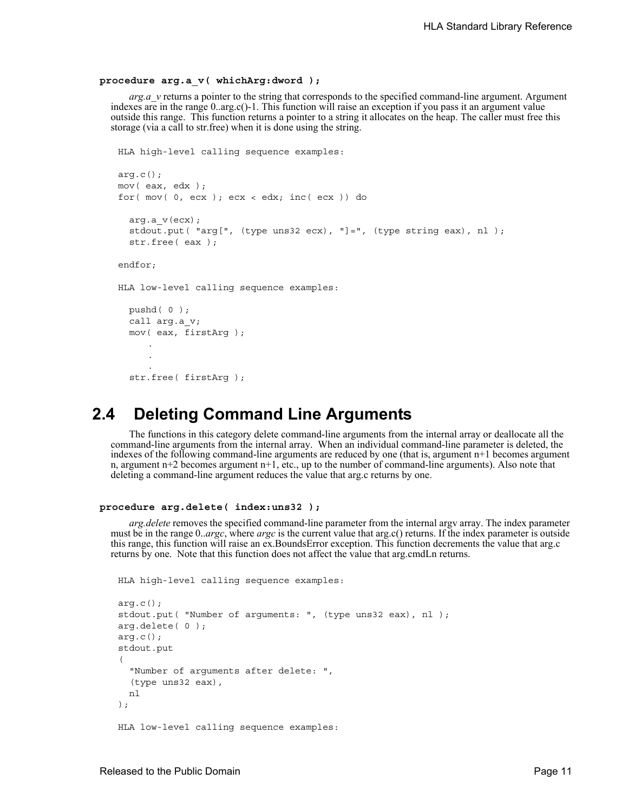#### **procedure arg.a\_v( whichArg:dword );**

*arg.a\_v* returns a pointer to the string that corresponds to the specified command-line argument. Argument indexes are in the range 0..arg.c()-1. This function will raise an exception if you pass it an argument value outside this range. This function returns a pointer to a string it allocates on the heap. The caller must free this storage (via a call to str.free) when it is done using the string.

```
HLA high-level calling sequence examples:
arg.c();
mov( eax, edx );
for( mov( 0, ecx ); ecx < edx; inc( ecx )) do
  arg.a_v(ecx);
  stdout.put( "arg[", (type uns32 ecx), "]=", (type string eax), nl );
  str.free( eax );
endfor;
HLA low-level calling sequence examples:
  pushd( 0 );
  call arg.a_v;
  mov( eax, firstArg );
     .
     .
     .
  str.free( firstArg );
```
## **2.4 Deleting Command Line Arguments**

The functions in this category delete command-line arguments from the internal array or deallocate all the command-line arguments from the internal array. When an individual command-line parameter is deleted, the indexes of the following command-line arguments are reduced by one (that is, argument n+1 becomes argument n, argument n+2 becomes argument n+1, etc., up to the number of command-line arguments). Also note that deleting a command-line argument reduces the value that arg.c returns by one.

### **procedure arg.delete( index:uns32 );**

*arg.delete* removes the specified command-line parameter from the internal argv array. The index parameter must be in the range 0..*argc*, where *argc* is the current value that arg.c() returns. If the index parameter is outside this range, this function will raise an ex.BoundsError exception. This function decrements the value that arg.c returns by one. Note that this function does not affect the value that arg.cmdLn returns.

HLA high-level calling sequence examples:

```
arg.c();
stdout.put( "Number of arguments: ", (type uns32 eax), nl );
arg.delete( 0 );
arg.c();
stdout.put
( 
  "Number of arguments after delete: ", 
  (type uns32 eax), 
  nl 
);
HLA low-level calling sequence examples:
```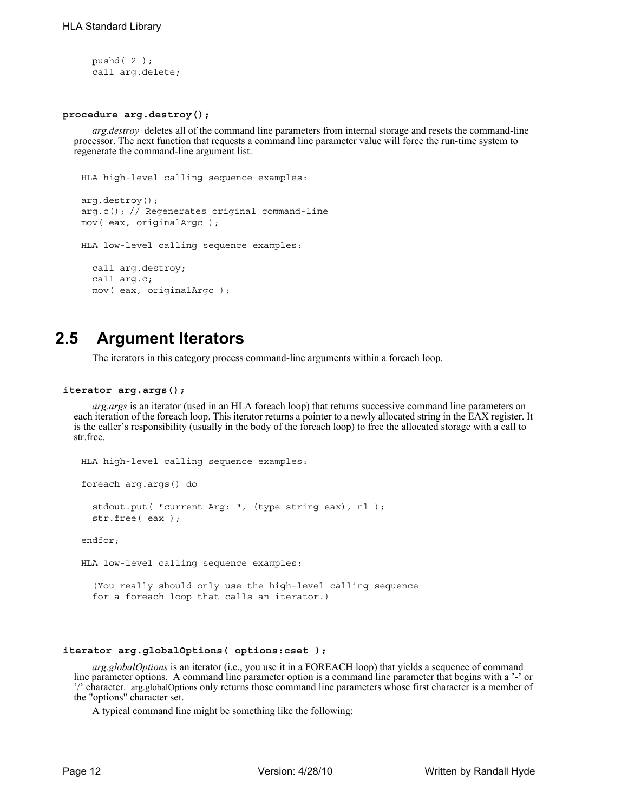```
pushd( 2 );
call arg.delete;
```
## **procedure arg.destroy();**

*arg.destroy* deletes all of the command line parameters from internal storage and resets the command-line processor. The next function that requests a command line parameter value will force the run-time system to regenerate the command-line argument list.

```
HLA high-level calling sequence examples:
arg.destroy();
arg.c(); // Regenerates original command-line
mov( eax, originalArgc );
HLA low-level calling sequence examples:
  call arg.destroy;
```

```
call arg.c;
mov( eax, originalArgc );
```
# **2.5 Argument Iterators**

The iterators in this category process command-line arguments within a foreach loop.

### **iterator arg.args();**

*arg.args* is an iterator (used in an HLA foreach loop) that returns successive command line parameters on each iteration of the foreach loop. This iterator returns a pointer to a newly allocated string in the EAX register. It is the caller's responsibility (usually in the body of the foreach loop) to free the allocated storage with a call to str.free.

```
HLA high-level calling sequence examples:
foreach arg.args() do
  stdout.put( "current Arg: ", (type string eax), nl );
  str.free( eax );
endfor;
HLA low-level calling sequence examples:
  (You really should only use the high-level calling sequence 
  for a foreach loop that calls an iterator.)
```
## **iterator arg.globalOptions( options:cset );**

*arg.globalOptions* is an iterator (i.e., you use it in a FOREACH loop) that yields a sequence of command line parameter options. A command line parameter option is a command line parameter that begins with a '-' or '/' character. arg.globalOptions only returns those command line parameters whose first character is a member of the "options" character set.

A typical command line might be something like the following: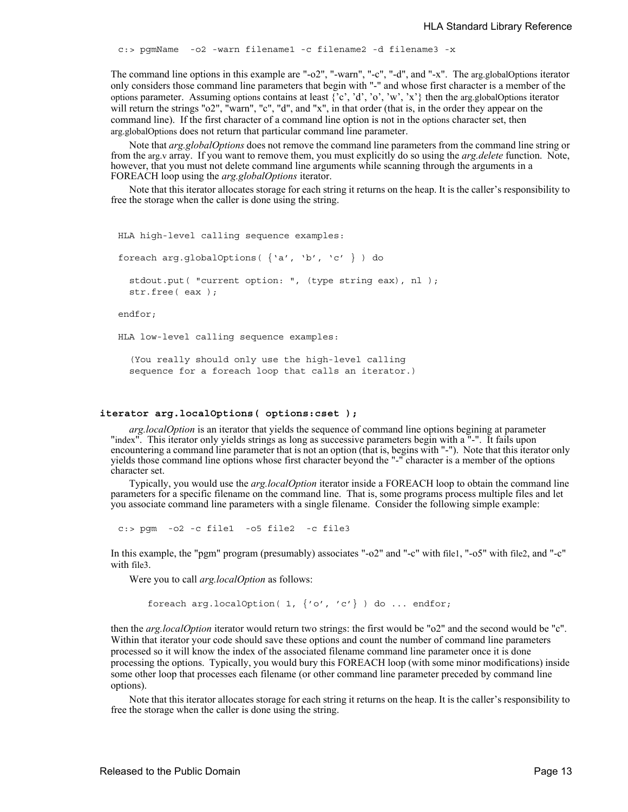c:> pgmName -o2 -warn filename1 -c filename2 -d filename3 -x

The command line options in this example are "-o2", "-warn", "-c", "-d", and "-x". The arg.globalOptions iterator only considers those command line parameters that begin with "-" and whose first character is a member of the options parameter. Assuming options contains at least  $\{^{\circ}c', \,^{\circ}d', \,^{\circ}o', \,^{\circ}w', \,^{\circ}x'\}$  then the arg.globalOptions iterator will return the strings "o2", "warn", "c", "d", and "x", in that order (that is, in the order they appear on the command line). If the first character of a command line option is not in the options character set, then arg.globalOptions does not return that particular command line parameter.

Note that *arg.globalOptions* does not remove the command line parameters from the command line string or from the arg.v array. If you want to remove them, you must explicitly do so using the *arg.delete* function. Note, however, that you must not delete command line arguments while scanning through the arguments in a FOREACH loop using the *arg.globalOptions* iterator.

Note that this iterator allocates storage for each string it returns on the heap. It is the caller's responsibility to free the storage when the caller is done using the string.

HLA high-level calling sequence examples:

foreach arg.globalOptions( {'a', 'b', 'c' } ) do

stdout.put( "current option: ", (type string eax), nl ); str.free( eax );

endfor;

HLA low-level calling sequence examples:

(You really should only use the high-level calling sequence for a foreach loop that calls an iterator.)

#### **iterator arg.localOptions( options:cset );**

*arg.localOption* is an iterator that yields the sequence of command line options begining at parameter "index". This iterator only yields strings as long as successive parameters begin with a "-". It fails upon encountering a command line parameter that is not an option (that is, begins with "-"). Note that this iterator only yields those command line options whose first character beyond the "-" character is a member of the options character set.

Typically, you would use the *arg.localOption* iterator inside a FOREACH loop to obtain the command line parameters for a specific filename on the command line. That is, some programs process multiple files and let you associate command line parameters with a single filename. Consider the following simple example:

c:> pgm -o2 -c file1 -o5 file2 -c file3

In this example, the "pgm" program (presumably) associates "-o2" and "-c" with file1, "-o5" with file2, and "-c" with file3.

Were you to call *arg.localOption* as follows:

foreach arg.localOption( 1,  $\{ 'o', 'c' \}$  ) do ... endfor;

then the *arg.localOption* iterator would return two strings: the first would be "o2" and the second would be "c". Within that iterator your code should save these options and count the number of command line parameters processed so it will know the index of the associated filename command line parameter once it is done processing the options. Typically, you would bury this FOREACH loop (with some minor modifications) inside some other loop that processes each filename (or other command line parameter preceded by command line options).

Note that this iterator allocates storage for each string it returns on the heap. It is the caller's responsibility to free the storage when the caller is done using the string.